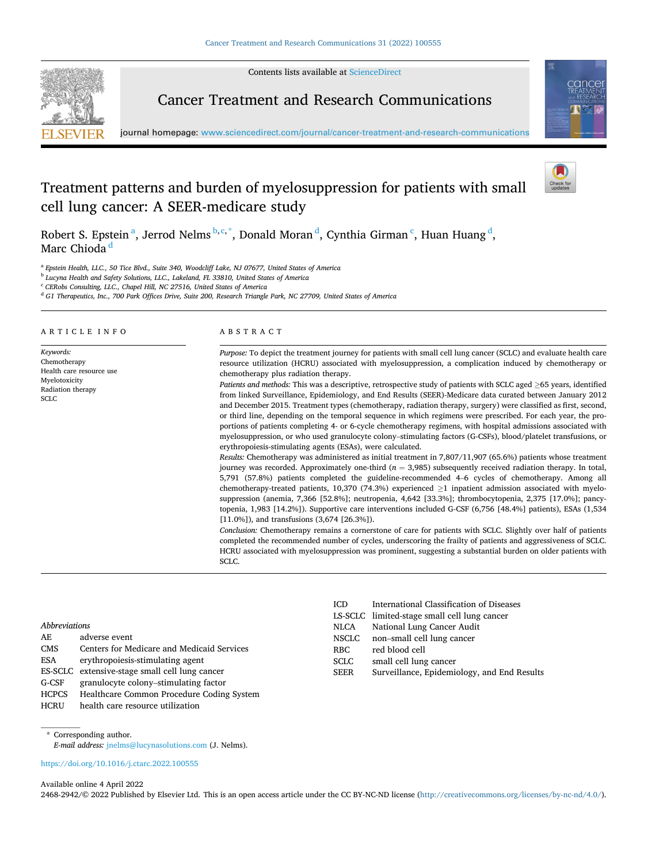Contents lists available at [ScienceDirect](www.sciencedirect.com/science/journal/24682942)



Cancer Treatment and Research Communications



journal homepage: [www.sciencedirect.com/journal/cancer-treatment-and-research-communications](https://www.sciencedirect.com/journal/cancer-treatment-and-research-communications) 

# Treatment patterns and burden of myelosuppression for patients with small cell lung cancer: A SEER-medicare study

Robert S. Epstein<sup>a</sup>, Jerrod Nelms <sup>b, c,\*</sup>, Donald Moran<sup>d</sup>, Cynthia Girman<sup>c</sup>, Huan Huang <sup>d</sup>, Marc Chioda<sup>d</sup>

<sup>a</sup> *Epstein Health, LLC., 50 Tice Blvd., Suite 340, Woodcliff Lake, NJ 07677, United States of America* 

<sup>b</sup> *Lucyna Health and Safety Solutions, LLC., Lakeland, FL 33810, United States of America* 

<sup>c</sup> *CERobs Consulting, LLC., Chapel Hill, NC 27516, United States of America* 

<sup>d</sup> *G1 Therapeutics, Inc., 700 Park Offices Drive, Suite 200, Research Triangle Park, NC 27709, United States of America* 

ARTICLE INFO

*Keywords:*  Chemotherapy Health care resource use Myelotoxicity Radiation therapy SCLC

# ABSTRACT

*Purpose:* To depict the treatment journey for patients with small cell lung cancer (SCLC) and evaluate health care resource utilization (HCRU) associated with myelosuppression, a complication induced by chemotherapy or chemotherapy plus radiation therapy.

*Patients and methods:* This was a descriptive, retrospective study of patients with SCLC aged ≥65 years, identified from linked Surveillance, Epidemiology, and End Results (SEER)-Medicare data curated between January 2012 and December 2015. Treatment types (chemotherapy, radiation therapy, surgery) were classified as first, second, or third line, depending on the temporal sequence in which regimens were prescribed. For each year, the proportions of patients completing 4- or 6-cycle chemotherapy regimens, with hospital admissions associated with myelosuppression, or who used granulocyte colony–stimulating factors (G-CSFs), blood/platelet transfusions, or erythropoiesis-stimulating agents (ESAs), were calculated.

*Results:* Chemotherapy was administered as initial treatment in 7,807/11,907 (65.6%) patients whose treatment journey was recorded. Approximately one-third (*n* = 3,985) subsequently received radiation therapy. In total, 5,791 (57.8%) patients completed the guideline-recommended 4–6 cycles of chemotherapy. Among all chemotherapy-treated patients, 10,370 (74.3%) experienced ≥1 inpatient admission associated with myelosuppression (anemia, 7,366 [52.8%]; neutropenia, 4,642 [33.3%]; thrombocytopenia, 2,375 [17.0%]; pancytopenia, 1,983 [14.2%]). Supportive care interventions included G-CSF (6,756 [48.4%] patients), ESAs (1,534 [11.0%]), and transfusions (3,674 [26.3%]).

*Conclusion:* Chemotherapy remains a cornerstone of care for patients with SCLC. Slightly over half of patients completed the recommended number of cycles, underscoring the frailty of patients and aggressiveness of SCLC. HCRU associated with myelosuppression was prominent, suggesting a substantial burden on older patients with SCLC.

## *Abbreviations*

| AE    | adverse event                                  |
|-------|------------------------------------------------|
| CMS   | Centers for Medicare and Medicaid Services     |
| ESA   | erythropoiesis-stimulating agent               |
|       | ES-SCLC extensive-stage small cell lung cancer |
| G-CSF | granulocyte colony-stimulating factor          |
| HCPCS | Healthcare Common Procedure Coding System      |
| HCRU  | health care resource utilization               |

| <b>ICD</b>   | International Classification of Diseases     |
|--------------|----------------------------------------------|
|              | LS-SCLC limited-stage small cell lung cancer |
| <b>NLCA</b>  | National Lung Cancer Audit                   |
| <b>NSCLC</b> | non-small cell lung cancer                   |
| RBC.         | red blood cell                               |
| <b>SCLC</b>  | small cell lung cancer                       |
| <b>SEER</b>  | Surveillance, Epidemiology, and End Results  |

\* Corresponding author.

*E-mail address:* [jnelms@lucynasolutions.com](mailto:jnelms@lucynasolutions.com) (J. Nelms).

<https://doi.org/10.1016/j.ctarc.2022.100555>

Available online 4 April 2022

2468-2942/© 2022 Published by Elsevier Ltd. This is an open access article under the CC BY-NC-ND license [\(http://creativecommons.org/licenses/by-nc-nd/4.0/\)](http://creativecommons.org/licenses/by-nc-nd/4.0/).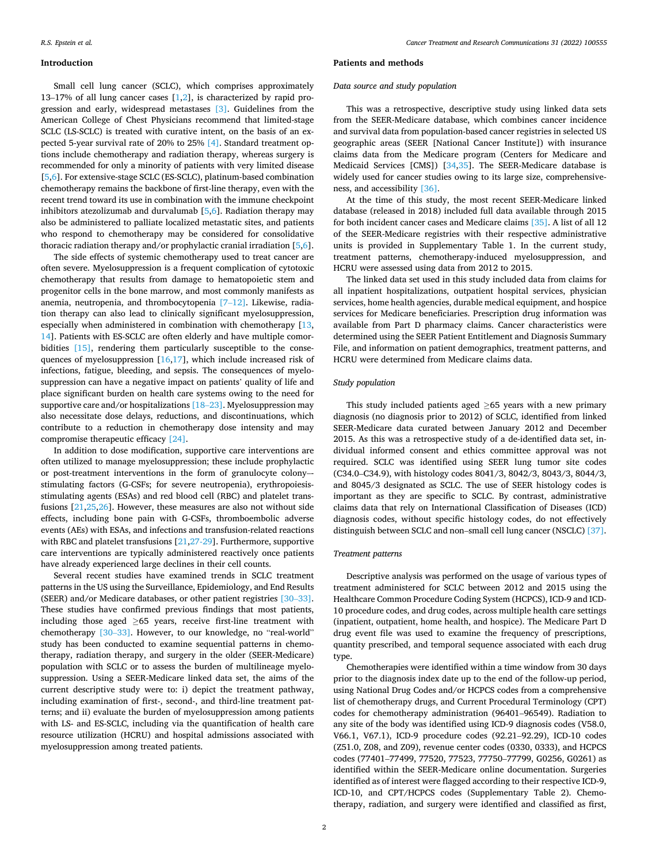#### **Introduction**

Small cell lung cancer (SCLC), which comprises approximately 13–17% of all lung cancer cases [\[1,2](#page-7-0)], is characterized by rapid progression and early, widespread metastases [\[3\].](#page-7-0) Guidelines from the American College of Chest Physicians recommend that limited-stage SCLC (LS-SCLC) is treated with curative intent, on the basis of an expected 5-year survival rate of 20% to 25% [\[4\].](#page-7-0) Standard treatment options include chemotherapy and radiation therapy, whereas surgery is recommended for only a minority of patients with very limited disease [[5](#page-7-0),[6](#page-7-0)]. For extensive-stage SCLC (ES-SCLC), platinum-based combination chemotherapy remains the backbone of first-line therapy, even with the recent trend toward its use in combination with the immune checkpoint inhibitors atezolizumab and durvalumab [[5](#page-7-0),[6](#page-7-0)]. Radiation therapy may also be administered to palliate localized metastatic sites, and patients who respond to chemotherapy may be considered for consolidative thoracic radiation therapy and/or prophylactic cranial irradiation [[5](#page-7-0),[6](#page-7-0)].

The side effects of systemic chemotherapy used to treat cancer are often severe. Myelosuppression is a frequent complication of cytotoxic chemotherapy that results from damage to hematopoietic stem and progenitor cells in the bone marrow, and most commonly manifests as anemia, neutropenia, and thrombocytopenia [7–[12\]](#page-7-0). Likewise, radiation therapy can also lead to clinically significant myelosuppression, especially when administered in combination with chemotherapy [\[13](#page-7-0), [14\]](#page-7-0). Patients with ES-SCLC are often elderly and have multiple comor-bidities [\[15\],](#page-7-0) rendering them particularly susceptible to the consequences of myelosuppression  $[16,17]$  $[16,17]$ , which include increased risk of infections, fatigue, bleeding, and sepsis. The consequences of myelosuppression can have a negative impact on patients' quality of life and place significant burden on health care systems owing to the need for supportive care and/or hospitalizations [\[18](#page-7-0)–23]. Myelosuppression may also necessitate dose delays, reductions, and discontinuations, which contribute to a reduction in chemotherapy dose intensity and may compromise therapeutic efficacy [\[24\].](#page-7-0)

In addition to dose modification, supportive care interventions are often utilized to manage myelosuppression; these include prophylactic or post-treatment interventions in the form of granulocyte colony–stimulating factors (G-CSFs; for severe neutropenia), erythropoiesisstimulating agents (ESAs) and red blood cell (RBC) and platelet transfusions [\[21,25](#page-7-0),[26\]](#page-7-0). However, these measures are also not without side effects, including bone pain with G-CSFs, thromboembolic adverse events (AEs) with ESAs, and infections and transfusion-related reactions with RBC and platelet transfusions [[21,27-29](#page-7-0)]. Furthermore, supportive care interventions are typically administered reactively once patients have already experienced large declines in their cell counts.

Several recent studies have examined trends in SCLC treatment patterns in the US using the Surveillance, Epidemiology, and End Results (SEER) and/or Medicare databases, or other patient registries [\[30](#page-7-0)–33]. These studies have confirmed previous findings that most patients, including those aged  $\geq 65$  years, receive first-line treatment with chemotherapy [\[30](#page-7-0)–33]. However, to our knowledge, no "real-world" study has been conducted to examine sequential patterns in chemotherapy, radiation therapy, and surgery in the older (SEER-Medicare) population with SCLC or to assess the burden of multilineage myelosuppression. Using a SEER-Medicare linked data set, the aims of the current descriptive study were to: i) depict the treatment pathway, including examination of first-, second-, and third-line treatment patterns; and ii) evaluate the burden of myelosuppression among patients with LS- and ES-SCLC, including via the quantification of health care resource utilization (HCRU) and hospital admissions associated with myelosuppression among treated patients.

#### **Patients and methods**

## *Data source and study population*

This was a retrospective, descriptive study using linked data sets from the SEER-Medicare database, which combines cancer incidence and survival data from population-based cancer registries in selected US geographic areas (SEER [National Cancer Institute]) with insurance claims data from the Medicare program (Centers for Medicare and Medicaid Services [CMS]) [\[34](#page-7-0),[35\]](#page-8-0). The SEER-Medicare database is widely used for cancer studies owing to its large size, comprehensiveness, and accessibility [\[36\]](#page-8-0).

At the time of this study, the most recent SEER-Medicare linked database (released in 2018) included full data available through 2015 for both incident cancer cases and Medicare claims [\[35\].](#page-8-0) A list of all 12 of the SEER-Medicare registries with their respective administrative units is provided in Supplementary Table 1. In the current study, treatment patterns, chemotherapy-induced myelosuppression, and HCRU were assessed using data from 2012 to 2015.

The linked data set used in this study included data from claims for all inpatient hospitalizations, outpatient hospital services, physician services, home health agencies, durable medical equipment, and hospice services for Medicare beneficiaries. Prescription drug information was available from Part D pharmacy claims. Cancer characteristics were determined using the SEER Patient Entitlement and Diagnosis Summary File, and information on patient demographics, treatment patterns, and HCRU were determined from Medicare claims data.

#### *Study population*

This study included patients aged  $\geq$  65 years with a new primary diagnosis (no diagnosis prior to 2012) of SCLC, identified from linked SEER-Medicare data curated between January 2012 and December 2015. As this was a retrospective study of a de-identified data set, individual informed consent and ethics committee approval was not required. SCLC was identified using SEER lung tumor site codes (C34.0–C34.9), with histology codes 8041/3, 8042/3, 8043/3, 8044/3, and 8045/3 designated as SCLC. The use of SEER histology codes is important as they are specific to SCLC. By contrast, administrative claims data that rely on International Classification of Diseases (ICD) diagnosis codes, without specific histology codes, do not effectively distinguish between SCLC and non–small cell lung cancer (NSCLC) [\[37\]](#page-8-0).

#### *Treatment patterns*

Descriptive analysis was performed on the usage of various types of treatment administered for SCLC between 2012 and 2015 using the Healthcare Common Procedure Coding System (HCPCS), ICD-9 and ICD-10 procedure codes, and drug codes, across multiple health care settings (inpatient, outpatient, home health, and hospice). The Medicare Part D drug event file was used to examine the frequency of prescriptions, quantity prescribed, and temporal sequence associated with each drug type.

Chemotherapies were identified within a time window from 30 days prior to the diagnosis index date up to the end of the follow-up period, using National Drug Codes and/or HCPCS codes from a comprehensive list of chemotherapy drugs, and Current Procedural Terminology (CPT) codes for chemotherapy administration (96401–96549). Radiation to any site of the body was identified using ICD-9 diagnosis codes (V58.0, V66.1, V67.1), ICD-9 procedure codes (92.21–92.29), ICD-10 codes (Z51.0, Z08, and Z09), revenue center codes (0330, 0333), and HCPCS codes (77401–77499, 77520, 77523, 77750–77799, G0256, G0261) as identified within the SEER-Medicare online documentation. Surgeries identified as of interest were flagged according to their respective ICD-9, ICD-10, and CPT/HCPCS codes (Supplementary Table 2). Chemotherapy, radiation, and surgery were identified and classified as first,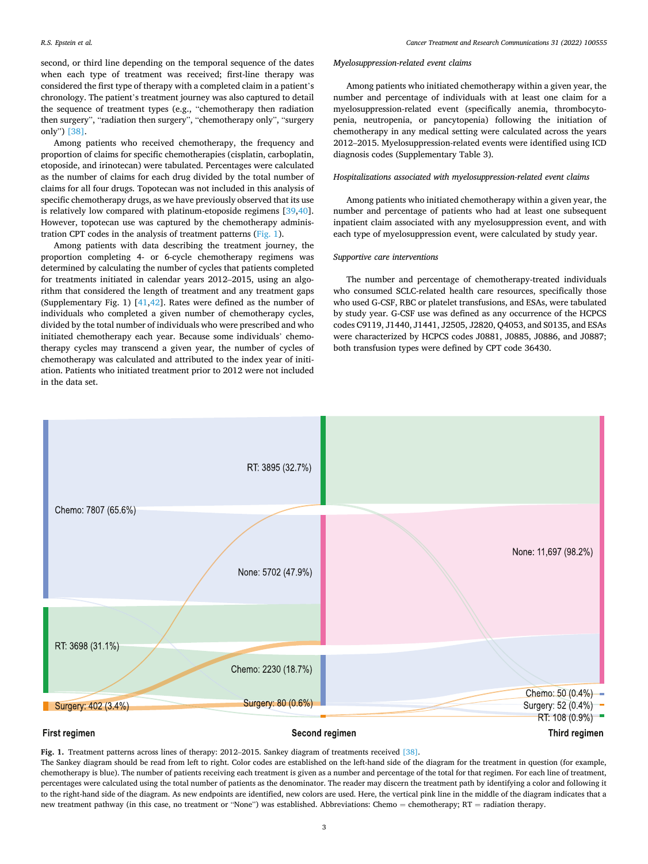<span id="page-2-0"></span>second, or third line depending on the temporal sequence of the dates when each type of treatment was received; first-line therapy was considered the first type of therapy with a completed claim in a patient's chronology. The patient's treatment journey was also captured to detail the sequence of treatment types (e.g., "chemotherapy then radiation then surgery", "radiation then surgery", "chemotherapy only", "surgery only") [\[38\].](#page-8-0)

Among patients who received chemotherapy, the frequency and proportion of claims for specific chemotherapies (cisplatin, carboplatin, etoposide, and irinotecan) were tabulated. Percentages were calculated as the number of claims for each drug divided by the total number of claims for all four drugs. Topotecan was not included in this analysis of specific chemotherapy drugs, as we have previously observed that its use is relatively low compared with platinum-etoposide regimens [[39,40](#page-8-0)]. However, topotecan use was captured by the chemotherapy administration CPT codes in the analysis of treatment patterns (Fig. 1).

Among patients with data describing the treatment journey, the proportion completing 4- or 6-cycle chemotherapy regimens was determined by calculating the number of cycles that patients completed for treatments initiated in calendar years 2012–2015, using an algorithm that considered the length of treatment and any treatment gaps (Supplementary Fig. 1) [[41,42\]](#page-8-0). Rates were defined as the number of individuals who completed a given number of chemotherapy cycles, divided by the total number of individuals who were prescribed and who initiated chemotherapy each year. Because some individuals' chemotherapy cycles may transcend a given year, the number of cycles of chemotherapy was calculated and attributed to the index year of initiation. Patients who initiated treatment prior to 2012 were not included in the data set.

#### *Myelosuppression-related event claims*

Among patients who initiated chemotherapy within a given year, the number and percentage of individuals with at least one claim for a myelosuppression-related event (specifically anemia, thrombocytopenia, neutropenia, or pancytopenia) following the initiation of chemotherapy in any medical setting were calculated across the years 2012–2015. Myelosuppression-related events were identified using ICD diagnosis codes (Supplementary Table 3).

## *Hospitalizations associated with myelosuppression-related event claims*

Among patients who initiated chemotherapy within a given year, the number and percentage of patients who had at least one subsequent inpatient claim associated with any myelosuppression event, and with each type of myelosuppression event, were calculated by study year.

# *Supportive care interventions*

The number and percentage of chemotherapy-treated individuals who consumed SCLC-related health care resources, specifically those who used G-CSF, RBC or platelet transfusions, and ESAs, were tabulated by study year. G-CSF use was defined as any occurrence of the HCPCS codes C9119, J1440, J1441, J2505, J2820, Q4053, and S0135, and ESAs were characterized by HCPCS codes J0881, J0885, J0886, and J0887; both transfusion types were defined by CPT code 36430.



# **Fig. 1.** Treatment patterns across lines of therapy: 2012–2015. Sankey diagram of treatments received [\[38\]](#page-8-0).

The Sankey diagram should be read from left to right. Color codes are established on the left-hand side of the diagram for the treatment in question (for example, chemotherapy is blue). The number of patients receiving each treatment is given as a number and percentage of the total for that regimen. For each line of treatment, percentages were calculated using the total number of patients as the denominator. The reader may discern the treatment path by identifying a color and following it to the right-hand side of the diagram. As new endpoints are identified, new colors are used. Here, the vertical pink line in the middle of the diagram indicates that a new treatment pathway (in this case, no treatment or "None") was established. Abbreviations: Chemo = chemotherapy; RT = radiation therapy.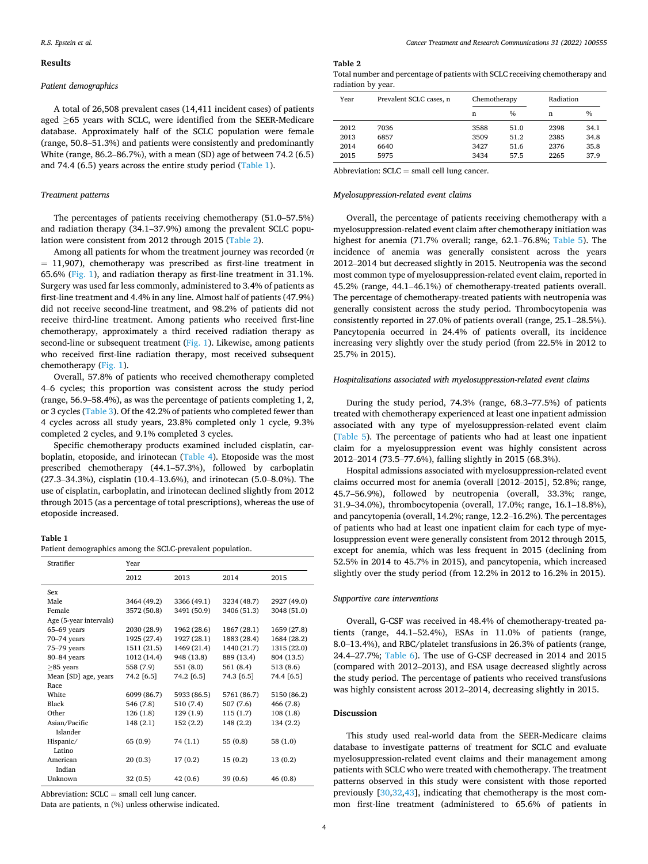#### **Results**

## *Patient demographics*

A total of 26,508 prevalent cases (14,411 incident cases) of patients aged ≥65 years with SCLC, were identified from the SEER-Medicare database. Approximately half of the SCLC population were female (range, 50.8–51.3%) and patients were consistently and predominantly White (range, 86.2–86.7%), with a mean (SD) age of between 74.2 (6.5) and 74.4 (6.5) years across the entire study period (Table 1).

## *Treatment patterns*

The percentages of patients receiving chemotherapy (51.0–57.5%) and radiation therapy (34.1–37.9%) among the prevalent SCLC population were consistent from 2012 through 2015 (Table 2).

Among all patients for whom the treatment journey was recorded (*n*  = 11,907), chemotherapy was prescribed as first-line treatment in 65.6% ([Fig. 1](#page-2-0)), and radiation therapy as first-line treatment in 31.1%. Surgery was used far less commonly, administered to 3.4% of patients as first-line treatment and 4.4% in any line. Almost half of patients (47.9%) did not receive second-line treatment, and 98.2% of patients did not receive third-line treatment. Among patients who received first-line chemotherapy, approximately a third received radiation therapy as second-line or subsequent treatment [\(Fig. 1\)](#page-2-0). Likewise, among patients who received first-line radiation therapy, most received subsequent chemotherapy [\(Fig. 1](#page-2-0)).

Overall, 57.8% of patients who received chemotherapy completed 4–6 cycles; this proportion was consistent across the study period (range, 56.9–58.4%), as was the percentage of patients completing 1, 2, or 3 cycles ([Table 3](#page-4-0)). Of the 42.2% of patients who completed fewer than 4 cycles across all study years, 23.8% completed only 1 cycle, 9.3% completed 2 cycles, and 9.1% completed 3 cycles.

Specific chemotherapy products examined included cisplatin, carboplatin, etoposide, and irinotecan ([Table 4\)](#page-4-0). Etoposide was the most prescribed chemotherapy (44.1–57.3%), followed by carboplatin (27.3–34.3%), cisplatin (10.4–13.6%), and irinotecan (5.0–8.0%). The use of cisplatin, carboplatin, and irinotecan declined slightly from 2012 through 2015 (as a percentage of total prescriptions), whereas the use of etoposide increased.

# **Table 1**

Patient demographics among the SCLC-prevalent population.

| Stratifier             | Year        |             |             |             |  |  |
|------------------------|-------------|-------------|-------------|-------------|--|--|
|                        | 2012        | 2013        | 2014        | 2015        |  |  |
| Sex                    |             |             |             |             |  |  |
| Male                   | 3464 (49.2) | 3366 (49.1) | 3234 (48.7) | 2927 (49.0) |  |  |
| Female                 | 3572 (50.8) | 3491 (50.9) | 3406 (51.3) | 3048 (51.0) |  |  |
| Age (5-year intervals) |             |             |             |             |  |  |
| $65-69$ years          | 2030 (28.9) | 1962 (28.6) | 1867 (28.1) | 1659 (27.8) |  |  |
| 70-74 years            | 1925 (27.4) | 1927 (28.1) | 1883 (28.4) | 1684 (28.2) |  |  |
| 75-79 years            | 1511 (21.5) | 1469 (21.4) | 1440 (21.7) | 1315 (22.0) |  |  |
| 80-84 years            | 1012 (14.4) | 948 (13.8)  | 889 (13.4)  | 804 (13.5)  |  |  |
| $\geq$ 85 years        | 558 (7.9)   | 551(8.0)    | 561 (8.4)   | 513 (8.6)   |  |  |
| Mean [SD] age, years   | 74.2 [6.5]  | 74.2 [6.5]  | 74.3 [6.5]  | 74.4 [6.5]  |  |  |
| Race                   |             |             |             |             |  |  |
| White                  | 6099 (86.7) | 5933 (86.5) | 5761 (86.7) | 5150 (86.2) |  |  |
| Black                  | 546 (7.8)   | 510 (7.4)   | 507 (7.6)   | 466 (7.8)   |  |  |
| Other                  | 126 (1.8)   | 129 (1.9)   | 115(1.7)    | 108(1.8)    |  |  |
| Asian/Pacific          | 148 (2.1)   | 152(2.2)    | 148 (2.2)   | 134 (2.2)   |  |  |
| Islander               |             |             |             |             |  |  |
| Hispanic/              | 65 (0.9)    | 74 (1.1)    | 55(0.8)     | 58 (1.0)    |  |  |
| Latino                 |             |             |             |             |  |  |
| American               | 20(0.3)     | 17(0.2)     | 15(0.2)     | 13(0.2)     |  |  |
| Indian                 |             |             |             |             |  |  |
| Unknown                | 32(0.5)     | 42 (0.6)    | 39 (0.6)    | 46 (0.8)    |  |  |

Abbreviation:  $SCLC = small$  cell lung cancer.

Data are patients, n (%) unless otherwise indicated.

# **Table 2**

| Total number and percentage of patients with SCLC receiving chemotherapy and |
|------------------------------------------------------------------------------|
| radiation by year.                                                           |

| Year | Prevalent SCLC cases, n |      | Chemotherapy  |      | Radiation     |
|------|-------------------------|------|---------------|------|---------------|
|      |                         | n    | $\frac{0}{0}$ | n    | $\frac{0}{0}$ |
| 2012 | 7036                    | 3588 | 51.0          | 2398 | 34.1          |
| 2013 | 6857                    | 3509 | 51.2          | 2385 | 34.8          |
| 2014 | 6640                    | 3427 | 51.6          | 2376 | 35.8          |
| 2015 | 5975                    | 3434 | 57.5          | 2265 | 37.9          |

Abbreviation:  $SCLC = small$  cell lung cancer.

## *Myelosuppression-related event claims*

Overall, the percentage of patients receiving chemotherapy with a myelosuppression-related event claim after chemotherapy initiation was highest for anemia (71.7% overall; range, 62.1–76.8%; [Table 5\)](#page-4-0). The incidence of anemia was generally consistent across the years 2012–2014 but decreased slightly in 2015. Neutropenia was the second most common type of myelosuppression-related event claim, reported in 45.2% (range, 44.1–46.1%) of chemotherapy-treated patients overall. The percentage of chemotherapy-treated patients with neutropenia was generally consistent across the study period. Thrombocytopenia was consistently reported in 27.0% of patients overall (range, 25.1–28.5%). Pancytopenia occurred in 24.4% of patients overall, its incidence increasing very slightly over the study period (from 22.5% in 2012 to 25.7% in 2015).

## *Hospitalizations associated with myelosuppression-related event claims*

During the study period, 74.3% (range, 68.3–77.5%) of patients treated with chemotherapy experienced at least one inpatient admission associated with any type of myelosuppression-related event claim ([Table 5\)](#page-4-0). The percentage of patients who had at least one inpatient claim for a myelosuppression event was highly consistent across 2012–2014 (73.5–77.6%), falling slightly in 2015 (68.3%).

Hospital admissions associated with myelosuppression-related event claims occurred most for anemia (overall [2012–2015], 52.8%; range, 45.7–56.9%), followed by neutropenia (overall, 33.3%; range, 31.9–34.0%), thrombocytopenia (overall, 17.0%; range, 16.1–18.8%), and pancytopenia (overall, 14.2%; range, 12.2–16.2%). The percentages of patients who had at least one inpatient claim for each type of myelosuppression event were generally consistent from 2012 through 2015, except for anemia, which was less frequent in 2015 (declining from 52.5% in 2014 to 45.7% in 2015), and pancytopenia, which increased slightly over the study period (from 12.2% in 2012 to 16.2% in 2015).

## *Supportive care interventions*

Overall, G-CSF was received in 48.4% of chemotherapy-treated patients (range, 44.1–52.4%), ESAs in 11.0% of patients (range, 8.0–13.4%), and RBC/platelet transfusions in 26.3% of patients (range, 24.4–27.7%; [Table 6](#page-4-0)). The use of G-CSF decreased in 2014 and 2015 (compared with 2012–2013), and ESA usage decreased slightly across the study period. The percentage of patients who received transfusions was highly consistent across 2012–2014, decreasing slightly in 2015.

#### **Discussion**

This study used real-world data from the SEER-Medicare claims database to investigate patterns of treatment for SCLC and evaluate myelosuppression-related event claims and their management among patients with SCLC who were treated with chemotherapy. The treatment patterns observed in this study were consistent with those reported previously [[30,32,](#page-7-0)[43\]](#page-8-0), indicating that chemotherapy is the most common first-line treatment (administered to 65.6% of patients in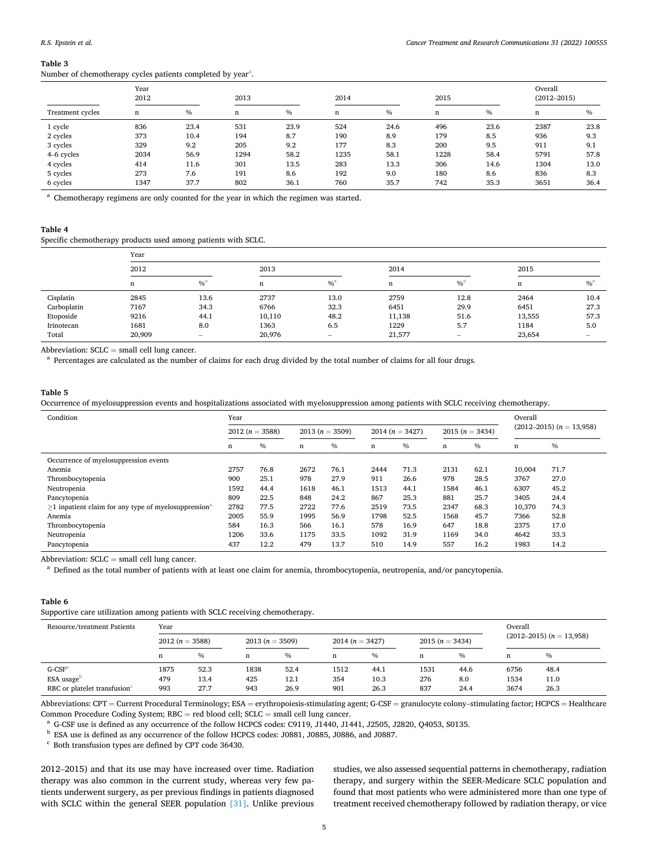#### *Cancer Treatment and Research Communications 31 (2022) 100555*

#### <span id="page-4-0"></span>**Table 3**

Number of chemotherapy cycles patients completed by year<sup>a</sup>.

| Year<br>2012     |      | 2013          |      |      | 2014 |      | 2015 |               | Overall<br>$(2012 - 2015)$ |               |
|------------------|------|---------------|------|------|------|------|------|---------------|----------------------------|---------------|
| Treatment cycles | n    | $\frac{0}{0}$ | n    | $\%$ | n    | $\%$ | n    | $\frac{0}{0}$ | n                          | $\frac{0}{0}$ |
| 1 cycle          | 836  | 23.4          | 531  | 23.9 | 524  | 24.6 | 496  | 23.6          | 2387                       | 23.8          |
| 2 cycles         | 373  | 10.4          | 194  | 8.7  | 190  | 8.9  | 179  | 8.5           | 936                        | 9.3           |
| 3 cycles         | 329  | 9.2           | 205  | 9.2  | 177  | 8.3  | 200  | 9.5           | 911                        | 9.1           |
| 4-6 cycles       | 2034 | 56.9          | 1294 | 58.2 | 1235 | 58.1 | 1228 | 58.4          | 5791                       | 57.8          |
| 4 cycles         | 414  | 11.6          | 301  | 13.5 | 283  | 13.3 | 306  | 14.6          | 1304                       | 13.0          |
| 5 cycles         | 273  | 7.6           | 191  | 8.6  | 192  | 9.0  | 180  | 8.6           | 836                        | 8.3           |
| 6 cycles         | 1347 | 37.7          | 802  | 36.1 | 760  | 35.7 | 742  | 35.3          | 3651                       | 36.4          |

<sup>a</sup> Chemotherapy regimens are only counted for the year in which the regimen was started.

## **Table 4**

Specific chemotherapy products used among patients with SCLC.

|             | Year   |                          |        |                   |        |                   |             |                          |  |
|-------------|--------|--------------------------|--------|-------------------|--------|-------------------|-------------|--------------------------|--|
|             | 2012   |                          | 2013   |                   | 2014   |                   | 2015        |                          |  |
|             | n      | $\%$ <sup>a</sup>        | n      | $%$ <sup>a</sup>  | n      | $\%$ <sup>a</sup> | $\mathbf n$ | $\%$ <sup>a</sup>        |  |
| Cisplatin   | 2845   | 13.6                     | 2737   | 13.0              | 2759   | 12.8              | 2464        | 10.4                     |  |
| Carboplatin | 7167   | 34.3                     | 6766   | 32.3              | 6451   | 29.9              | 6451        | 27.3                     |  |
| Etoposide   | 9216   | 44.1                     | 10,110 | 48.2              | 11,138 | 51.6              | 13,555      | 57.3                     |  |
| Irinotecan  | 1681   | 8.0                      | 1363   | 6.5               | 1229   | 5.7               | 1184        | 5.0                      |  |
| Total       | 20,909 | $\overline{\phantom{a}}$ | 20,976 | $\qquad \qquad =$ | 21,577 | $\hspace{0.05cm}$ | 23,654      | $\overline{\phantom{a}}$ |  |

Abbreviation: SCLC = small cell lung cancer.<br><sup>a</sup> Percentages are calculated as the number of claims for each drug divided by the total number of claims for all four drugs.

# **Table 5**

Occurrence of myelosuppression events and hospitalizations associated with myelosuppression among patients with SCLC receiving chemotherapy.

| Condition                                                          |                  | Year          |                  |      |                     |      |                   |      | Overall                      |      |
|--------------------------------------------------------------------|------------------|---------------|------------------|------|---------------------|------|-------------------|------|------------------------------|------|
|                                                                    | $2012(n = 3588)$ |               | $2013(n = 3509)$ |      | 2014 ( $n = 3427$ ) |      | 2015 $(n = 3434)$ |      | $(2012-2015)$ $(n = 13,958)$ |      |
|                                                                    | n                | $\frac{0}{6}$ | n                | $\%$ | n                   | $\%$ | n                 | $\%$ | n                            | $\%$ |
| Occurrence of myelosuppression events                              |                  |               |                  |      |                     |      |                   |      |                              |      |
| Anemia                                                             | 2757             | 76.8          | 2672             | 76.1 | 2444                | 71.3 | 2131              | 62.1 | 10.004                       | 71.7 |
| Thrombocytopenia                                                   | 900              | 25.1          | 978              | 27.9 | 911                 | 26.6 | 978               | 28.5 | 3767                         | 27.0 |
| Neutropenia                                                        | 1592             | 44.4          | 1618             | 46.1 | 1513                | 44.1 | 1584              | 46.1 | 6307                         | 45.2 |
| Pancytopenia                                                       | 809              | 22.5          | 848              | 24.2 | 867                 | 25.3 | 881               | 25.7 | 3405                         | 24.4 |
| $>1$ inpatient claim for any type of myelosuppression <sup>a</sup> | 2782             | 77.5          | 2722             | 77.6 | 2519                | 73.5 | 2347              | 68.3 | 10,370                       | 74.3 |
| Anemia                                                             | 2005             | 55.9          | 1995             | 56.9 | 1798                | 52.5 | 1568              | 45.7 | 7366                         | 52.8 |
| Thrombocytopenia                                                   | 584              | 16.3          | 566              | 16.1 | 578                 | 16.9 | 647               | 18.8 | 2375                         | 17.0 |
| Neutropenia                                                        | 1206             | 33.6          | 1175             | 33.5 | 1092                | 31.9 | 1169              | 34.0 | 4642                         | 33.3 |
| Pancytopenia                                                       | 437              | 12.2          | 479              | 13.7 | 510                 | 14.9 | 557               | 16.2 | 1983                         | 14.2 |

Abbreviation: SCLC = small cell lung cancer.<br>a Defined as the total number of patients with at least one claim for anemia, thrombocytopenia, neutropenia, and/or pancytopenia.

# **Table 6**

Supportive care utilization among patients with SCLC receiving chemotherapy.

| Resource/treatment Patients              | Year             |               |      |               |                  |      |                  |               |                   | Overall |                              |  |
|------------------------------------------|------------------|---------------|------|---------------|------------------|------|------------------|---------------|-------------------|---------|------------------------------|--|
|                                          | $2012(n = 3588)$ |               |      |               | $2013(n = 3509)$ |      | $2014(n = 3427)$ |               | 2015 $(n = 3434)$ |         | $(2012-2015)$ $(n = 13,958)$ |  |
|                                          | n                | $\frac{0}{0}$ | n    | $\frac{0}{0}$ | n                | %    | n                | $\frac{0}{0}$ | n                 | $\%$    |                              |  |
| $G-CSFa$                                 | 1875             | 52.3          | 1838 | 52.4          | 1512             | 44.1 | 1531             | 44.6          | 6756              | 48.4    |                              |  |
| $ESA$ usage                              | 479              | 13.4          | 425  | 12.1          | 354              | 10.3 | 276              | 8.0           | 1534              | 11.0    |                              |  |
| RBC or platelet transfusion <sup>c</sup> | 993              | 27.7          | 943  | 26.9          | 901              | 26.3 | 837              | 24.4          | 3674              | 26.3    |                              |  |

Abbreviations: CPT = Current Procedural Terminology; ESA = erythropoiesis-stimulating agent; G-CSF = granulocyte colony–stimulating factor; HCPCS = Healthcare Common Procedure Coding System; RBC = red blood cell; SCLC = small cell lung cancer.<br>
<sup>a</sup> G-CSF use is defined as any occurrence of the follow HCPCS codes: C9119, J1440, J1441, J2505, J2820, Q4053, S0135.<br>
<sup>b</sup> ESA use is

2012–2015) and that its use may have increased over time. Radiation therapy was also common in the current study, whereas very few patients underwent surgery, as per previous findings in patients diagnosed with SCLC within the general SEER population [\[31\].](#page-7-0) Unlike previous studies, we also assessed sequential patterns in chemotherapy, radiation therapy, and surgery within the SEER-Medicare SCLC population and found that most patients who were administered more than one type of treatment received chemotherapy followed by radiation therapy, or vice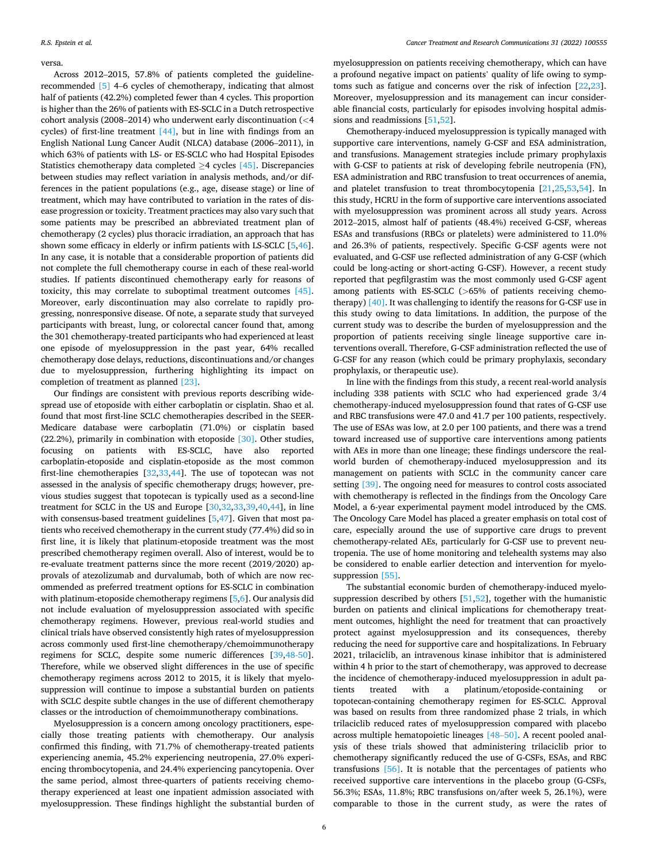#### versa.

Across 2012–2015, 57.8% of patients completed the guidelinerecommended [\[5\]](#page-7-0) 4–6 cycles of chemotherapy, indicating that almost half of patients (42.2%) completed fewer than 4 cycles. This proportion is higher than the 26% of patients with ES-SCLC in a Dutch retrospective cohort analysis (2008–2014) who underwent early discontinuation (*<*4 cycles) of first-line treatment  $[44]$ , but in line with findings from an English National Lung Cancer Audit (NLCA) database (2006–2011), in which 63% of patients with LS- or ES-SCLC who had Hospital Episodes Statistics chemotherapy data completed  $\geq$  4 cycles [\[45\].](#page-8-0) Discrepancies between studies may reflect variation in analysis methods, and/or differences in the patient populations (e.g., age, disease stage) or line of treatment, which may have contributed to variation in the rates of disease progression or toxicity. Treatment practices may also vary such that some patients may be prescribed an abbreviated treatment plan of chemotherapy (2 cycles) plus thoracic irradiation, an approach that has shown some efficacy in elderly or infirm patients with LS-SCLC [\[5,](#page-7-0)[46](#page-8-0)]. In any case, it is notable that a considerable proportion of patients did not complete the full chemotherapy course in each of these real-world studies. If patients discontinued chemotherapy early for reasons of toxicity, this may correlate to suboptimal treatment outcomes [\[45\]](#page-8-0). Moreover, early discontinuation may also correlate to rapidly progressing, nonresponsive disease. Of note, a separate study that surveyed participants with breast, lung, or colorectal cancer found that, among the 301 chemotherapy-treated participants who had experienced at least one episode of myelosuppression in the past year, 64% recalled chemotherapy dose delays, reductions, discontinuations and/or changes due to myelosuppression, furthering highlighting its impact on completion of treatment as planned [\[23\].](#page-7-0)

Our findings are consistent with previous reports describing widespread use of etoposide with either carboplatin or cisplatin. Shao et al. found that most first-line SCLC chemotherapies described in the SEER-Medicare database were carboplatin (71.0%) or cisplatin based (22.2%), primarily in combination with etoposide [\[30\]](#page-7-0). Other studies, focusing on patients with ES-SCLC, have also reported carboplatin-etoposide and cisplatin-etoposide as the most common first-line chemotherapies [[32,33](#page-7-0)[,44](#page-8-0)]. The use of topotecan was not assessed in the analysis of specific chemotherapy drugs; however, previous studies suggest that topotecan is typically used as a second-line treatment for SCLC in the US and Europe [\[30](#page-7-0),[32](#page-7-0),[33,](#page-7-0)[39,40,44](#page-8-0)], in line with consensus-based treatment guidelines [[5](#page-7-0)[,47\]](#page-8-0). Given that most patients who received chemotherapy in the current study (77.4%) did so in first line, it is likely that platinum-etoposide treatment was the most prescribed chemotherapy regimen overall. Also of interest, would be to re-evaluate treatment patterns since the more recent (2019/2020) approvals of atezolizumab and durvalumab, both of which are now recommended as preferred treatment options for ES-SCLC in combination with platinum-etoposide chemotherapy regimens [\[5](#page-7-0),[6](#page-7-0)]. Our analysis did not include evaluation of myelosuppression associated with specific chemotherapy regimens. However, previous real-world studies and clinical trials have observed consistently high rates of myelosuppression across commonly used first-line chemotherapy/chemoimmunotherapy regimens for SCLC, despite some numeric differences [\[39](#page-8-0),[48-50](#page-8-0)]. Therefore, while we observed slight differences in the use of specific chemotherapy regimens across 2012 to 2015, it is likely that myelosuppression will continue to impose a substantial burden on patients with SCLC despite subtle changes in the use of different chemotherapy classes or the introduction of chemoimmunotherapy combinations.

Myelosuppression is a concern among oncology practitioners, especially those treating patients with chemotherapy. Our analysis confirmed this finding, with 71.7% of chemotherapy-treated patients experiencing anemia, 45.2% experiencing neutropenia, 27.0% experiencing thrombocytopenia, and 24.4% experiencing pancytopenia. Over the same period, almost three-quarters of patients receiving chemotherapy experienced at least one inpatient admission associated with myelosuppression. These findings highlight the substantial burden of myelosuppression on patients receiving chemotherapy, which can have a profound negative impact on patients' quality of life owing to symptoms such as fatigue and concerns over the risk of infection [[22,23](#page-7-0)]. Moreover, myelosuppression and its management can incur considerable financial costs, particularly for episodes involving hospital admissions and readmissions [\[51](#page-8-0),[52\]](#page-8-0).

Chemotherapy-induced myelosuppression is typically managed with supportive care interventions, namely G-CSF and ESA administration, and transfusions. Management strategies include primary prophylaxis with G-CSF to patients at risk of developing febrile neutropenia (FN), ESA administration and RBC transfusion to treat occurrences of anemia, and platelet transfusion to treat thrombocytopenia [[21,25,](#page-7-0)[53,54](#page-8-0)]. In this study, HCRU in the form of supportive care interventions associated with myelosuppression was prominent across all study years. Across 2012–2015, almost half of patients (48.4%) received G-CSF, whereas ESAs and transfusions (RBCs or platelets) were administered to 11.0% and 26.3% of patients, respectively. Specific G-CSF agents were not evaluated, and G-CSF use reflected administration of any G-CSF (which could be long-acting or short-acting G-CSF). However, a recent study reported that pegfilgrastim was the most commonly used G-CSF agent among patients with ES-SCLC (*>*65% of patients receiving chemotherapy) [\[40\]](#page-8-0). It was challenging to identify the reasons for G-CSF use in this study owing to data limitations. In addition, the purpose of the current study was to describe the burden of myelosuppression and the proportion of patients receiving single lineage supportive care interventions overall. Therefore, G-CSF administration reflected the use of G-CSF for any reason (which could be primary prophylaxis, secondary prophylaxis, or therapeutic use).

In line with the findings from this study, a recent real-world analysis including 338 patients with SCLC who had experienced grade 3/4 chemotherapy-induced myelosuppression found that rates of G-CSF use and RBC transfusions were 47.0 and 41.7 per 100 patients, respectively. The use of ESAs was low, at 2.0 per 100 patients, and there was a trend toward increased use of supportive care interventions among patients with AEs in more than one lineage; these findings underscore the realworld burden of chemotherapy-induced myelosuppression and its management on patients with SCLC in the community cancer care setting [\[39\]](#page-8-0). The ongoing need for measures to control costs associated with chemotherapy is reflected in the findings from the Oncology Care Model, a 6-year experimental payment model introduced by the CMS. The Oncology Care Model has placed a greater emphasis on total cost of care, especially around the use of supportive care drugs to prevent chemotherapy-related AEs, particularly for G-CSF use to prevent neutropenia. The use of home monitoring and telehealth systems may also be considered to enable earlier detection and intervention for myelo-suppression [\[55\].](#page-8-0)

The substantial economic burden of chemotherapy-induced myelosuppression described by others [[51,52](#page-8-0)], together with the humanistic burden on patients and clinical implications for chemotherapy treatment outcomes, highlight the need for treatment that can proactively protect against myelosuppression and its consequences, thereby reducing the need for supportive care and hospitalizations. In February 2021, trilaciclib, an intravenous kinase inhibitor that is administered within 4 h prior to the start of chemotherapy, was approved to decrease the incidence of chemotherapy-induced myelosuppression in adult patients treated with a platinum/etoposide-containing or topotecan-containing chemotherapy regimen for ES-SCLC. Approval was based on results from three randomized phase 2 trials, in which trilaciclib reduced rates of myelosuppression compared with placebo across multiple hematopoietic lineages [\[48](#page-8-0)–50]. A recent pooled analysis of these trials showed that administering trilaciclib prior to chemotherapy significantly reduced the use of G-CSFs, ESAs, and RBC transfusions [\[56\]](#page-8-0). It is notable that the percentages of patients who received supportive care interventions in the placebo group (G-CSFs, 56.3%; ESAs, 11.8%; RBC transfusions on/after week 5, 26.1%), were comparable to those in the current study, as were the rates of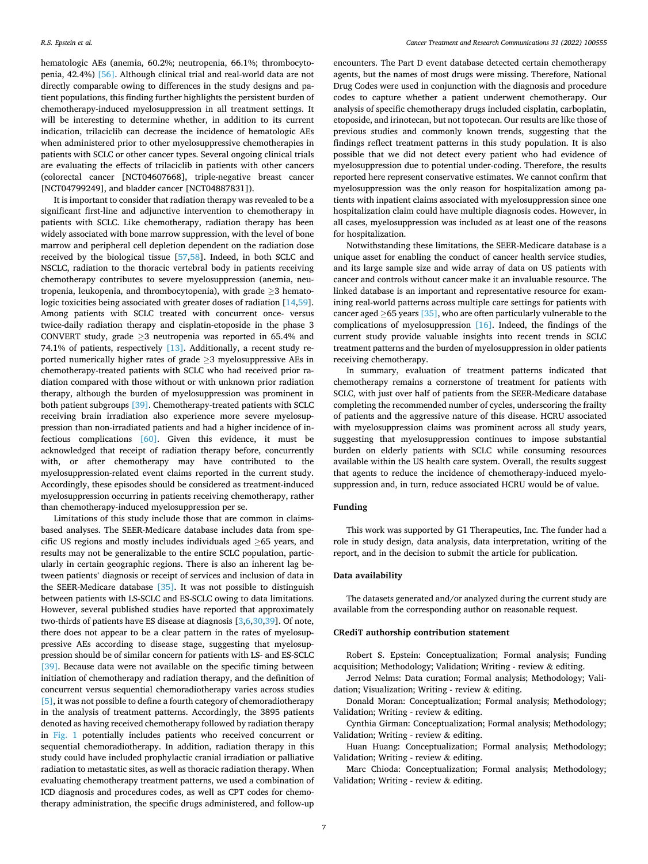hematologic AEs (anemia, 60.2%; neutropenia, 66.1%; thrombocytopenia, 42.4%) [\[56\].](#page-8-0) Although clinical trial and real-world data are not directly comparable owing to differences in the study designs and patient populations, this finding further highlights the persistent burden of chemotherapy-induced myelosuppression in all treatment settings. It will be interesting to determine whether, in addition to its current indication, trilaciclib can decrease the incidence of hematologic AEs when administered prior to other myelosuppressive chemotherapies in patients with SCLC or other cancer types. Several ongoing clinical trials are evaluating the effects of trilaciclib in patients with other cancers (colorectal cancer [NCT04607668], triple-negative breast cancer [NCT04799249], and bladder cancer [NCT04887831]).

It is important to consider that radiation therapy was revealed to be a significant first-line and adjunctive intervention to chemotherapy in patients with SCLC. Like chemotherapy, radiation therapy has been widely associated with bone marrow suppression, with the level of bone marrow and peripheral cell depletion dependent on the radiation dose received by the biological tissue [[57,58\]](#page-8-0). Indeed, in both SCLC and NSCLC, radiation to the thoracic vertebral body in patients receiving chemotherapy contributes to severe myelosuppression (anemia, neutropenia, leukopenia, and thrombocytopenia), with grade ≥3 hemato-logic toxicities being associated with greater doses of radiation [[14,](#page-7-0)[59](#page-8-0)]. Among patients with SCLC treated with concurrent once- versus twice-daily radiation therapy and cisplatin-etoposide in the phase 3 CONVERT study, grade  $\geq$ 3 neutropenia was reported in 65.4% and 74.1% of patients, respectively [\[13\].](#page-7-0) Additionally, a recent study reported numerically higher rates of grade  $\geq$ 3 myelosuppressive AEs in chemotherapy-treated patients with SCLC who had received prior radiation compared with those without or with unknown prior radiation therapy, although the burden of myelosuppression was prominent in both patient subgroups [\[39\].](#page-8-0) Chemotherapy-treated patients with SCLC receiving brain irradiation also experience more severe myelosuppression than non-irradiated patients and had a higher incidence of infectious complications [\[60\].](#page-8-0) Given this evidence, it must be acknowledged that receipt of radiation therapy before, concurrently with, or after chemotherapy may have contributed to the myelosuppression-related event claims reported in the current study. Accordingly, these episodes should be considered as treatment-induced myelosuppression occurring in patients receiving chemotherapy, rather than chemotherapy-induced myelosuppression per se.

Limitations of this study include those that are common in claimsbased analyses. The SEER-Medicare database includes data from specific US regions and mostly includes individuals aged ≥65 years, and results may not be generalizable to the entire SCLC population, particularly in certain geographic regions. There is also an inherent lag between patients' diagnosis or receipt of services and inclusion of data in the SEER-Medicare database [\[35\]](#page-8-0). It was not possible to distinguish between patients with LS-SCLC and ES-SCLC owing to data limitations. However, several published studies have reported that approximately two-thirds of patients have ES disease at diagnosis [\[3,6](#page-7-0),[30,](#page-7-0)[39\]](#page-8-0). Of note, there does not appear to be a clear pattern in the rates of myelosuppressive AEs according to disease stage, suggesting that myelosuppression should be of similar concern for patients with LS- and ES-SCLC [\[39\]](#page-8-0). Because data were not available on the specific timing between initiation of chemotherapy and radiation therapy, and the definition of concurrent versus sequential chemoradiotherapy varies across studies [\[5\],](#page-7-0) it was not possible to define a fourth category of chemoradiotherapy in the analysis of treatment patterns. Accordingly, the 3895 patients denoted as having received chemotherapy followed by radiation therapy in [Fig. 1](#page-2-0) potentially includes patients who received concurrent or sequential chemoradiotherapy. In addition, radiation therapy in this study could have included prophylactic cranial irradiation or palliative radiation to metastatic sites, as well as thoracic radiation therapy. When evaluating chemotherapy treatment patterns, we used a combination of ICD diagnosis and procedures codes, as well as CPT codes for chemotherapy administration, the specific drugs administered, and follow-up

encounters. The Part D event database detected certain chemotherapy agents, but the names of most drugs were missing. Therefore, National Drug Codes were used in conjunction with the diagnosis and procedure codes to capture whether a patient underwent chemotherapy. Our analysis of specific chemotherapy drugs included cisplatin, carboplatin, etoposide, and irinotecan, but not topotecan. Our results are like those of previous studies and commonly known trends, suggesting that the findings reflect treatment patterns in this study population. It is also possible that we did not detect every patient who had evidence of myelosuppression due to potential under-coding. Therefore, the results reported here represent conservative estimates. We cannot confirm that myelosuppression was the only reason for hospitalization among patients with inpatient claims associated with myelosuppression since one hospitalization claim could have multiple diagnosis codes. However, in all cases, myelosuppression was included as at least one of the reasons for hospitalization.

Notwithstanding these limitations, the SEER-Medicare database is a unique asset for enabling the conduct of cancer health service studies, and its large sample size and wide array of data on US patients with cancer and controls without cancer make it an invaluable resource. The linked database is an important and representative resource for examining real-world patterns across multiple care settings for patients with cancer aged  $\geq$  65 years [\[35\]](#page-8-0), who are often particularly vulnerable to the complications of myelosuppression [\[16\].](#page-7-0) Indeed, the findings of the current study provide valuable insights into recent trends in SCLC treatment patterns and the burden of myelosuppression in older patients receiving chemotherapy.

In summary, evaluation of treatment patterns indicated that chemotherapy remains a cornerstone of treatment for patients with SCLC, with just over half of patients from the SEER-Medicare database completing the recommended number of cycles, underscoring the frailty of patients and the aggressive nature of this disease. HCRU associated with myelosuppression claims was prominent across all study years, suggesting that myelosuppression continues to impose substantial burden on elderly patients with SCLC while consuming resources available within the US health care system. Overall, the results suggest that agents to reduce the incidence of chemotherapy-induced myelosuppression and, in turn, reduce associated HCRU would be of value.

# **Funding**

This work was supported by G1 Therapeutics, Inc. The funder had a role in study design, data analysis, data interpretation, writing of the report, and in the decision to submit the article for publication.

## **Data availability**

The datasets generated and/or analyzed during the current study are available from the corresponding author on reasonable request.

#### **CRediT authorship contribution statement**

Robert S. Epstein: Conceptualization; Formal analysis; Funding acquisition; Methodology; Validation; Writing - review & editing.

Jerrod Nelms: Data curation; Formal analysis; Methodology; Validation; Visualization; Writing - review & editing.

Donald Moran: Conceptualization; Formal analysis; Methodology; Validation; Writing - review & editing.

Cynthia Girman: Conceptualization; Formal analysis; Methodology; Validation; Writing - review & editing.

Huan Huang: Conceptualization; Formal analysis; Methodology; Validation; Writing - review & editing.

Marc Chioda: Conceptualization; Formal analysis; Methodology; Validation; Writing - review & editing.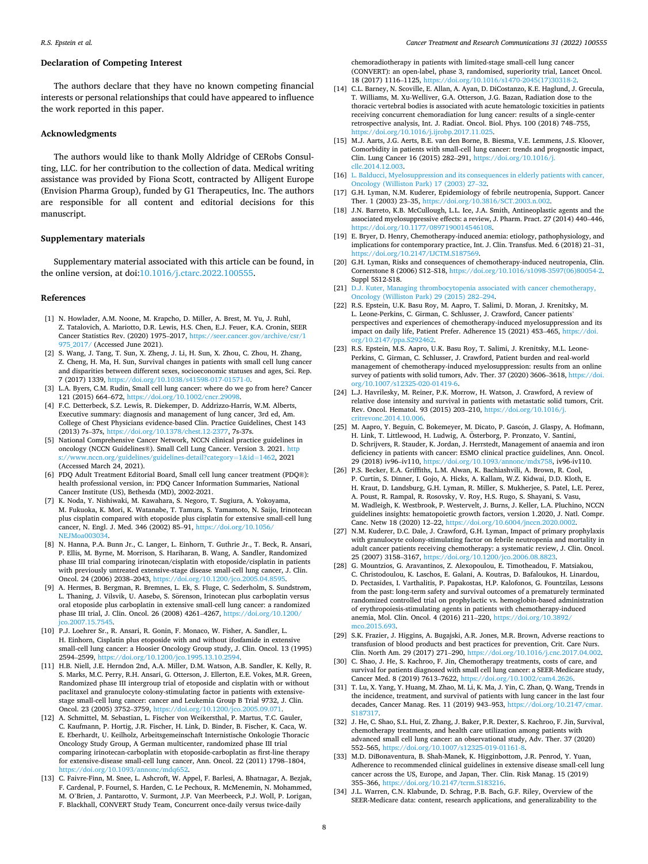#### <span id="page-7-0"></span>**Declaration of Competing Interest**

The authors declare that they have no known competing financial interests or personal relationships that could have appeared to influence the work reported in this paper.

#### **Acknowledgments**

The authors would like to thank Molly Aldridge of CERobs Consulting, LLC. for her contribution to the collection of data. Medical writing assistance was provided by Fiona Scott, contracted by Alligent Europe (Envision Pharma Group), funded by G1 Therapeutics, Inc. The authors are responsible for all content and editorial decisions for this manuscript.

# **Supplementary materials**

Supplementary material associated with this article can be found, in the online version, at doi:[10.1016/j.ctarc.2022.100555.](https://doi.org/10.1016/j.ctarc.2022.100555)

#### **References**

- [1] N. Howlader, A.M. Noone, M. Krapcho, D. Miller, A. Brest, M. Yu, J. Ruhl, Z. Tatalovich, A. Mariotto, D.R. Lewis, H.S. Chen, E.J. Feuer, K.A. Cronin, SEER Cancer Statistics Rev. (2020) 1975–2017, [https://seer.cancer.gov/archive/csr/1](https://seer.cancer.gov/archive/csr/1975_2017/)  75 2017/ (Accessed June 2021).
- [2] S. Wang, J. Tang, T. Sun, X. Zheng, J. Li, H. Sun, X. Zhou, C. Zhou, H. Zhang, Z. Cheng, H. Ma, H. Sun, Survival changes in patients with small cell lung cancer and disparities between different sexes, socioeconomic statuses and ages, Sci. Rep. 7 (2017) 1339, [https://doi.org/10.1038/s41598-017-01571-0.](https://doi.org/10.1038/s41598-017-01571-0)
- [3] L.A. Byers, C.M. Rudin, Small cell lung cancer: where do we go from here? Cancer 121 (2015) 664–672, <https://doi.org/10.1002/cncr.29098>.
- [4] F.C. Detterbeck, S.Z. Lewis, R. Diekemper, D. Addrizzo-Harris, W.M. Alberts, Executive summary: diagnosis and management of lung cancer, 3rd ed, Am. College of Chest Physicians evidence-based Clin. Practice Guidelines, Chest 143 (2013) 7s–37s, [https://doi.org/10.1378/chest.12-2377,](https://doi.org/10.1378/chest.12-2377) 7s-37s.
- [5] National Comprehensive Cancer Network, NCCN clinical practice guidelines in oncology (NCCN Guidelines®). Small Cell Lung Cancer. Version 3. 2021. http [s://www.nccn.org/guidelines/guidelines-detail?category](https://www.nccn.org/guidelines/guidelines-detail?category=1&tnqh_x0026;id=1462)=1&id=1462, 2021 (Accessed March 24, 2021).
- [6] PDQ Adult Treatment Editorial Board, Small cell lung cancer treatment (PDQ®): health professional version, in: PDQ Cancer Information Summaries, National Cancer Institute (US), Bethesda (MD), 2002-2021.
- [7] K. Noda, Y. Nishiwaki, M. Kawahara, S. Negoro, T. Sugiura, A. Yokoyama, M. Fukuoka, K. Mori, K. Watanabe, T. Tamura, S. Yamamoto, N. Saijo, Irinotecan plus cisplatin compared with etoposide plus cisplatin for extensive small-cell lung cancer, N. Engl. J. Med. 346 (2002) 85–91, [https://doi.org/10.1056/](https://doi.org/10.1056/NEJMoa003034)  [NEJMoa003034](https://doi.org/10.1056/NEJMoa003034).
- [8] N. Hanna, P.A. Bunn Jr., C. Langer, L. Einhorn, T. Guthrie Jr., T. Beck, R. Ansari, P. Ellis, M. Byrne, M. Morrison, S. Hariharan, B. Wang, A. Sandler, Randomized phase III trial comparing irinotecan/cisplatin with etoposide/cisplatin in patients with previously untreated extensive-stage disease small-cell lung cancer, J. Clin. Oncol. 24 (2006) 2038–2043, <https://doi.org/10.1200/jco.2005.04.8595>.
- [9] A. Hermes, B. Bergman, R. Bremnes, L. Ek, S. Fluge, C. Sederholm, S. Sundstrøm, L. Thaning, J. Vilsvik, U. Aasebø, S. Sörenson, Irinotecan plus carboplatin versus oral etoposide plus carboplatin in extensive small-cell lung cancer: a randomized phase III trial, J. Clin. Oncol. 26 (2008) 4261–4267, [https://doi.org/10.1200/](https://doi.org/10.1200/jco.2007.15.7545) o.2007.15.7545
- [10] P.J. Loehrer Sr., R. Ansari, R. Gonin, F. Monaco, W. Fisher, A. Sandler, L. H. Einhorn, Cisplatin plus etoposide with and without ifosfamide in extensive small-cell lung cancer: a Hoosier Oncology Group study, J. Clin. Oncol. 13 (1995) 2594–2599, https://doi.org/10.1200/jco.1995.13.10.25
- [11] H.B. Niell, J.E. Herndon 2nd, A.A. Miller, D.M. Watson, A.B. Sandler, K. Kelly, R. S. Marks, M.C. Perry, R.H. Ansari, G. Otterson, J. Ellerton, E.E. Vokes, M.R. Green, Randomized phase III intergroup trial of etoposide and cisplatin with or without paclitaxel and granulocyte colony-stimulating factor in patients with extensivestage small-cell lung cancer: cancer and Leukemia Group B Trial 9732, J. Clin. Oncol. 23 (2005) 3752–3759, [https://doi.org/10.1200/jco.2005.09.071.](https://doi.org/10.1200/jco.2005.09.071)
- [12] A. Schmittel, M. Sebastian, L. Fischer von Weikersthal, P. Martus, T.C. Gauler, C. Kaufmann, P. Hortig, J.R. Fischer, H. Link, D. Binder, B. Fischer, K. Caca, W. E. Eberhardt, U. Keilholz, Arbeitsgemeinschaft Internistische Onkologie Thoracic Oncology Study Group, A German multicenter, randomized phase III trial comparing irinotecan-carboplatin with etoposide-carboplatin as first-line therapy for extensive-disease small-cell lung cancer, Ann. Oncol. 22 (2011) 1798–1804, [https://doi.org/10.1093/annonc/mdq652.](https://doi.org/10.1093/annonc/mdq652)
- [13] C. Faivre-Finn, M. Snee, L. Ashcroft, W. Appel, F. Barlesi, A. Bhatnagar, A. Bezjak, F. Cardenal, P. Fournel, S. Harden, C. Le Pechoux, R. McMenemin, N. Mohammed, M. O'Brien, J. Pantarotto, V. Surmont, J.P. Van Meerbeeck, P.J. Woll, P. Lorigan, F. Blackhall, CONVERT Study Team, Concurrent once-daily versus twice-daily

chemoradiotherapy in patients with limited-stage small-cell lung cancer (CONVERT): an open-label, phase 3, randomised, superiority trial, Lancet Oncol. 18 (2017) 1116–1125, [https://doi.org/10.1016/s1470-2045\(17\)30318-2](https://doi.org/10.1016/s1470-2045(17)30318-2).

- [14] C.L. Barney, N. Scoville, E. Allan, A. Ayan, D. DiCostanzo, K.E. Haglund, J. Grecula, T. Williams, M. Xu-Welliver, G.A. Otterson, J.G. Bazan, Radiation dose to the thoracic vertebral bodies is associated with acute hematologic toxicities in patients receiving concurrent chemoradiation for lung cancer: results of a single-center retrospective analysis, Int. J. Radiat. Oncol. Biol. Phys. 100 (2018) 748–755, //doi.org/10.1016/j.ijrobp.2017.11.025
- [15] M.J. Aarts, J.G. Aerts, B.E. van den Borne, B. Biesma, V.E. Lemmens, J.S. Kloover, Comorbidity in patients with small-cell lung cancer: trends and prognostic impact, Clin. Lung Cancer 16 (2015) 282–291, [https://doi.org/10.1016/j.](https://doi.org/10.1016/j.cllc.2014.12.003)  [cllc.2014.12.003.](https://doi.org/10.1016/j.cllc.2014.12.003)
- [16] [L. Balducci, Myelosuppression and its consequences in elderly patients with cancer,](http://refhub.elsevier.com/S2468-2942(22)00045-4/sbref0016)  [Oncology \(Williston Park\) 17 \(2003\) 27](http://refhub.elsevier.com/S2468-2942(22)00045-4/sbref0016)–32.
- [17] G.H. Lyman, N.M. Kuderer, Epidemiology of febrile neutropenia, Support. Cancer Ther. 1 (2003) 23–35, [https://doi.org/10.3816/SCT.2003.n.002.](https://doi.org/10.3816/SCT.2003.n.002)
- [18] J.N. Barreto, K.B. McCullough, L.L. Ice, J.A. Smith, Antineoplastic agents and the associated myelosuppressive effects: a review, J. Pharm. Pract. 27 (2014) 440–446, <https://doi.org/10.1177/0897190014546108>.
- [19] E. Bryer, D. Henry, Chemotherapy-induced anemia: etiology, pathophysiology, and implications for contemporary practice, Int. J. Clin. Transfus. Med. 6 (2018) 21–31, //doi.org/10.2147/IJCTM.S1875
- [20] G.H. Lyman, Risks and consequences of chemotherapy-induced neutropenia, Clin. Cornerstone 8 (2006) S12–S18, [https://doi.org/10.1016/s1098-3597\(06\)80054-2.](https://doi.org/10.1016/s1098-3597(06)80054-2) Suppl 5S12-S18.
- [21] [D.J. Kuter, Managing thrombocytopenia associated with cancer chemotherapy,](http://refhub.elsevier.com/S2468-2942(22)00045-4/sbref0021) [Oncology \(Williston Park\) 29 \(2015\) 282](http://refhub.elsevier.com/S2468-2942(22)00045-4/sbref0021)–294.
- [22] R.S. Epstein, U.K. Basu Roy, M. Aapro, T. Salimi, D. Moran, J. Krenitsky, M. L. Leone-Perkins, C. Girman, C. Schlusser, J. Crawford, Cancer patients' perspectives and experiences of chemotherapy-induced myelosuppression and its impact on daily life, Patient Prefer. Adherence 15 (2021) 453–465, [https://doi.](https://doi.org/10.2147/ppa.S292462) [org/10.2147/ppa.S292462](https://doi.org/10.2147/ppa.S292462).
- [23] R.S. Epstein, M.S. Aapro, U.K. Basu Roy, T. Salimi, J. Krenitsky, M.L. Leone-Perkins, C. Girman, C. Schlusser, J. Crawford, Patient burden and real-world management of chemotherapy-induced myelosuppression: results from an online survey of patients with solid tumors, Adv. Ther. 37 (2020) 3606–3618, [https://doi.](https://doi.org/10.1007/s12325-020-01419-6)  [org/10.1007/s12325-020-01419-6.](https://doi.org/10.1007/s12325-020-01419-6)
- [24] L.J. Havrilesky, M. Reiner, P.K. Morrow, H. Watson, J. Crawford, A review of relative dose intensity and survival in patients with metastatic solid tumors, Crit. Rev. Oncol. Hematol. 93 (2015) 203–210, [https://doi.org/10.1016/j.](https://doi.org/10.1016/j.critrevonc.2014.10.006)  [critrevonc.2014.10.006](https://doi.org/10.1016/j.critrevonc.2014.10.006).
- [25] M. Aapro, Y. Beguin, C. Bokemeyer, M. Dicato, P. Gascón, J. Glaspy, A. Hofmann, H. Link, T. Littlewood, H. Ludwig, A. Österborg, P. Pronzato, V. Santini, D. Schrijvers, R. Stauder, K. Jordan, J. Herrstedt, Management of anaemia and iron deficiency in patients with cancer: ESMO clinical practice guidelines, Ann. Oncol. 29 (2018) iv96–iv110, [https://doi.org/10.1093/annonc/mdx758,](https://doi.org/10.1093/annonc/mdx758) iv96-iv110.
- [26] P.S. Becker, E.A. Griffiths, L.M. Alwan, K. Bachiashvili, A. Brown, R. Cool, P. Curtin, S. Dinner, I. Gojo, A. Hicks, A. Kallam, W.Z. Kidwai, D.D. Kloth, E. H. Kraut, D. Landsburg, G.H. Lyman, R. Miller, S. Mukherjee, S. Patel, L.E. Perez, A. Poust, R. Rampal, R. Rosovsky, V. Roy, H.S. Rugo, S. Shayani, S. Vasu, M. Wadleigh, K. Westbrook, P. Westervelt, J. Burns, J. Keller, L.A. Pluchino, NCCN guidelines insights: hematopoietic growth factors, version 1.2020, J. Natl. Compr. Canc. Netw 18 (2020) 12–22, <https://doi.org/10.6004/jnccn.2020.0002>.
- [27] N.M. Kuderer, D.C. Dale, J. Crawford, G.H. Lyman, Impact of primary prophylaxis with granulocyte colony-stimulating factor on febrile neutropenia and mortality in adult cancer patients receiving chemotherapy: a systematic review, J. Clin. Oncol. 25 (2007) 3158–3167, [https://doi.org/10.1200/jco.2006.08.8823.](https://doi.org/10.1200/jco.2006.08.8823)
- [28] G. Mountzios, G. Aravantinos, Z. Alexopoulou, E. Timotheadou, F. Matsiakou, C. Christodoulou, K. Laschos, E. Galani, A. Koutras, D. Bafaloukos, H. Linardou, D. Pectasides, I. Varthalitis, P. Papakostas, H.P. Kalofonos, G. Fountzilas, Lessons from the past: long-term safety and survival outcomes of a prematurely terminated randomized controlled trial on prophylactic vs. hemoglobin-based administration of erythropoiesis-stimulating agents in patients with chemotherapy-induced anemia, Mol. Clin. Oncol. 4 (2016) 211–220, [https://doi.org/10.3892/](https://doi.org/10.3892/mco.2015.693)  mco. 2015.693
- [29] S.K. Frazier, J. Higgins, A. Bugajski, A.R. Jones, M.R. Brown, Adverse reactions to transfusion of blood products and best practices for prevention, Crit. Care Nurs. Clin. North Am. 29 (2017) 271–290, [https://doi.org/10.1016/j.cnc.2017.04.002.](https://doi.org/10.1016/j.cnc.2017.04.002)
- [30] C. Shao, J. He, S. Kachroo, F. Jin, Chemotherapy treatments, costs of care, and survival for patients diagnosed with small cell lung cancer: a SEER-Medicare study, Cancer Med. 8 (2019) 7613–7622, [https://doi.org/10.1002/cam4.2626.](https://doi.org/10.1002/cam4.2626)
- [31] T. Lu, X. Yang, Y. Huang, M. Zhao, M. Li, K. Ma, J. Yin, C. Zhan, Q. Wang, Trends in the incidence, treatment, and survival of patients with lung cancer in the last four decades, Cancer Manag. Res. 11 (2019) 943–953, [https://doi.org/10.2147/cmar.](https://doi.org/10.2147/cmar.S187317) S18731
- [32] J. He, C. Shao, S.L. Hui, Z. Zhang, J. Baker, P.R. Dexter, S. Kachroo, F. Jin, Survival, chemotherapy treatments, and health care utilization among patients with advanced small cell lung cancer: an observational study, Adv. Ther. 37 (2020) 552–565, [https://doi.org/10.1007/s12325-019-01161-8.](https://doi.org/10.1007/s12325-019-01161-8)
- [33] M.D. DiBonaventura, B. Shah-Manek, K. Higginbottom, J.R. Penrod, Y. Yuan, Adherence to recommended clinical guidelines in extensive disease small-cell lung cancer across the US, Europe, and Japan, Ther. Clin. Risk Manag. 15 (2019) 355–366, <https://doi.org/10.2147/tcrm.S183216>.
- [34] J.L. Warren, C.N. Klabunde, D. Schrag, P.B. Bach, G.F. Riley, Overview of the SEER-Medicare data: content, research applications, and generalizability to the